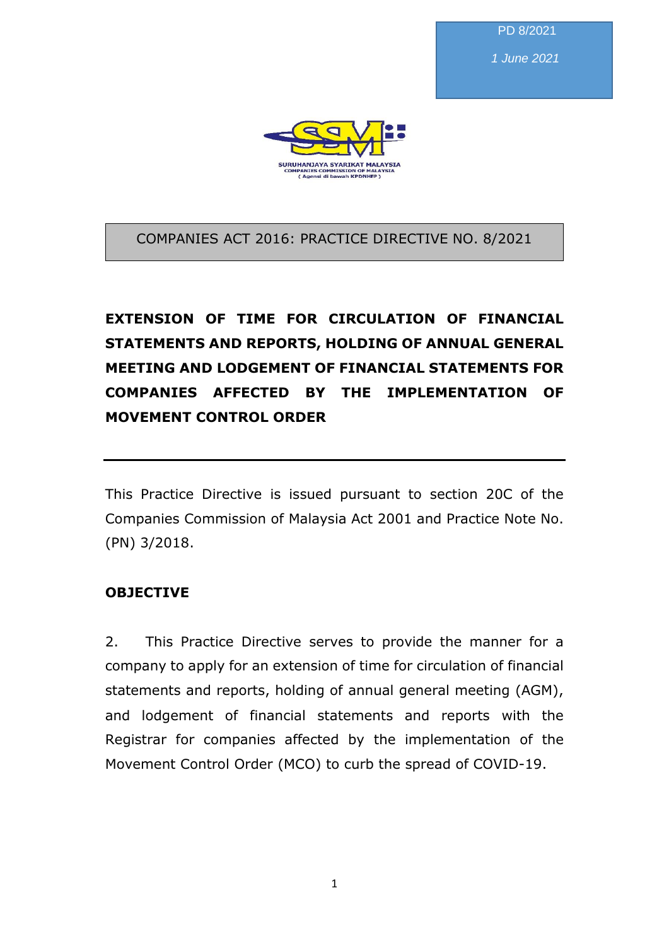PD 8/2021

*1 June 2021*



COMPANIES ACT 2016: PRACTICE DIRECTIVE NO. 8/2021

# **EXTENSION OF TIME FOR CIRCULATION OF FINANCIAL STATEMENTS AND REPORTS, HOLDING OF ANNUAL GENERAL MEETING AND LODGEMENT OF FINANCIAL STATEMENTS FOR COMPANIES AFFECTED BY THE IMPLEMENTATION OF MOVEMENT CONTROL ORDER**

This Practice Directive is issued pursuant to section 20C of the Companies Commission of Malaysia Act 2001 and Practice Note No. (PN) 3/2018.

### **OBJECTIVE**

2. This Practice Directive serves to provide the manner for a company to apply for an extension of time for circulation of financial statements and reports, holding of annual general meeting (AGM), and lodgement of financial statements and reports with the Registrar for companies affected by the implementation of the Movement Control Order (MCO) to curb the spread of COVID-19.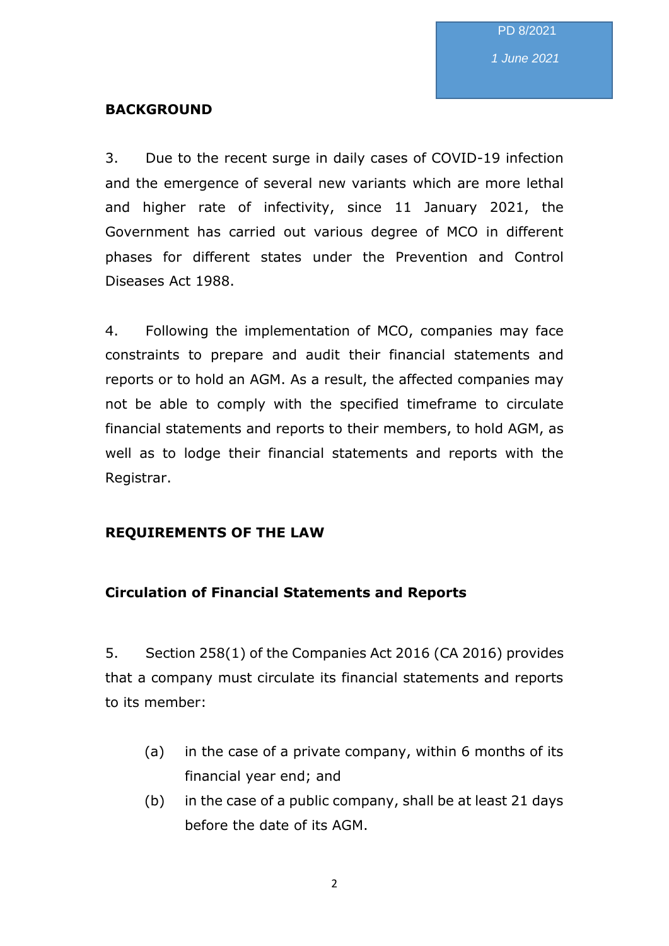*1 June 2021*

### **BACKGROUND**

3. Due to the recent surge in daily cases of COVID-19 infection and the emergence of several new variants which are more lethal and higher rate of infectivity, since 11 January 2021, the Government has carried out various degree of MCO in different phases for different states under the Prevention and Control Diseases Act 1988.

4. Following the implementation of MCO, companies may face constraints to prepare and audit their financial statements and reports or to hold an AGM. As a result, the affected companies may not be able to comply with the specified timeframe to circulate financial statements and reports to their members, to hold AGM, as well as to lodge their financial statements and reports with the Registrar.

### **REQUIREMENTS OF THE LAW**

### **Circulation of Financial Statements and Reports**

5. Section 258(1) of the Companies Act 2016 (CA 2016) provides that a company must circulate its financial statements and reports to its member:

- (a) in the case of a private company, within 6 months of its financial year end; and
- (b) in the case of a public company, shall be at least 21 days before the date of its AGM.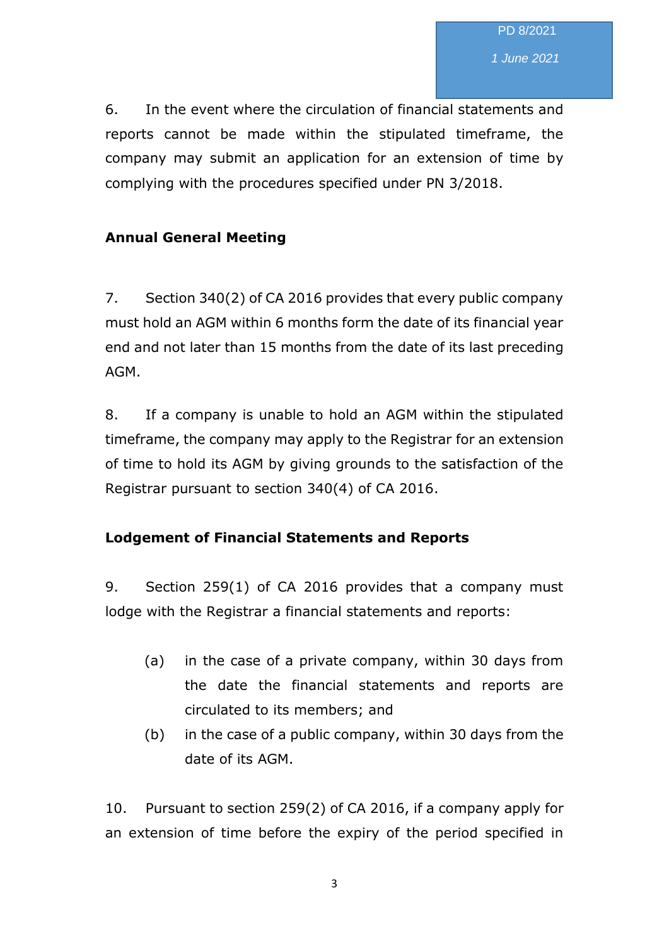*1 June 2021*

6. In the event where the circulation of financial statements and reports cannot be made within the stipulated timeframe, the company may submit an application for an extension of time by complying with the procedures specified under PN 3/2018.

### **Annual General Meeting**

7. Section 340(2) of CA 2016 provides that every public company must hold an AGM within 6 months form the date of its financial year end and not later than 15 months from the date of its last preceding AGM.

8. If a company is unable to hold an AGM within the stipulated timeframe, the company may apply to the Registrar for an extension of time to hold its AGM by giving grounds to the satisfaction of the Registrar pursuant to section 340(4) of CA 2016.

### **Lodgement of Financial Statements and Reports**

9. Section 259(1) of CA 2016 provides that a company must lodge with the Registrar a financial statements and reports:

- (a) in the case of a private company, within 30 days from the date the financial statements and reports are circulated to its members; and
- (b) in the case of a public company, within 30 days from the date of its AGM.

10. Pursuant to section 259(2) of CA 2016, if a company apply for an extension of time before the expiry of the period specified in

3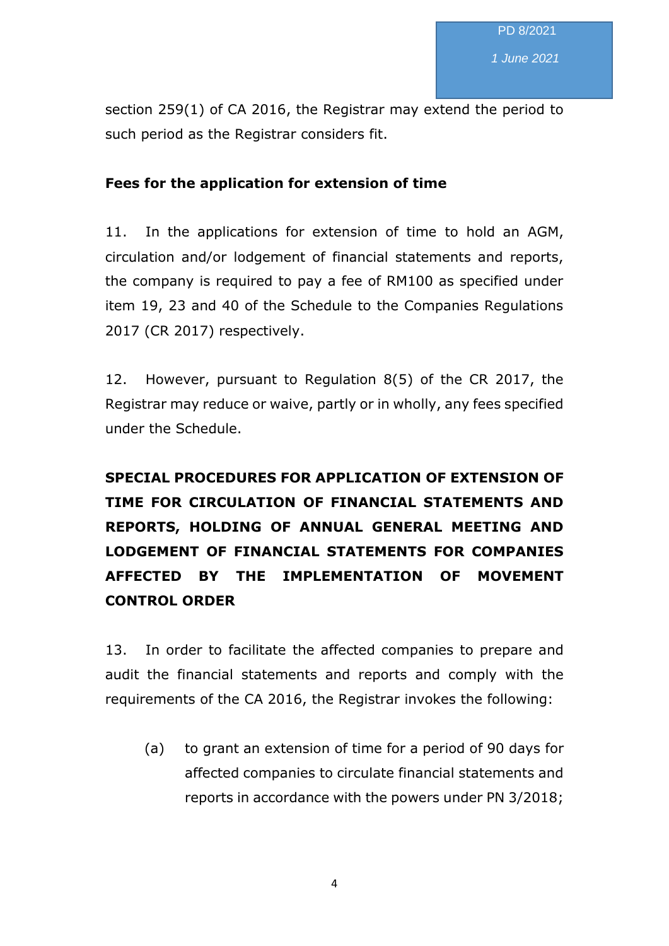section 259(1) of CA 2016, the Registrar may extend the period to such period as the Registrar considers fit.

### **Fees for the application for extension of time**

11. In the applications for extension of time to hold an AGM, circulation and/or lodgement of financial statements and reports, the company is required to pay a fee of RM100 as specified under item 19, 23 and 40 of the Schedule to the Companies Regulations 2017 (CR 2017) respectively.

12. However, pursuant to Regulation 8(5) of the CR 2017, the Registrar may reduce or waive, partly or in wholly, any fees specified under the Schedule.

# **SPECIAL PROCEDURES FOR APPLICATION OF EXTENSION OF TIME FOR CIRCULATION OF FINANCIAL STATEMENTS AND REPORTS, HOLDING OF ANNUAL GENERAL MEETING AND LODGEMENT OF FINANCIAL STATEMENTS FOR COMPANIES AFFECTED BY THE IMPLEMENTATION OF MOVEMENT CONTROL ORDER**

13. In order to facilitate the affected companies to prepare and audit the financial statements and reports and comply with the requirements of the CA 2016, the Registrar invokes the following:

(a) to grant an extension of time for a period of 90 days for affected companies to circulate financial statements and reports in accordance with the powers under PN 3/2018;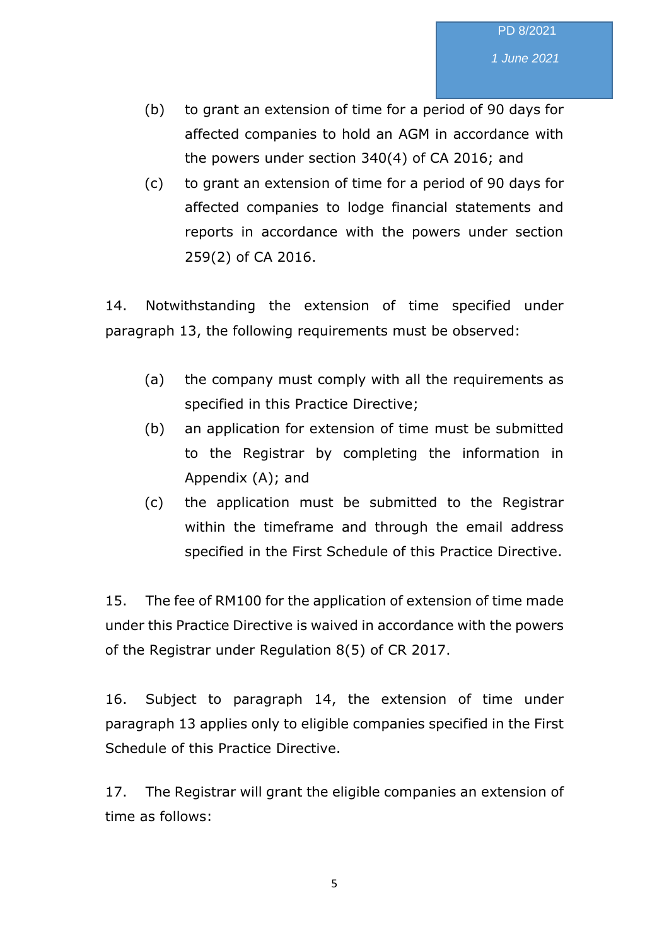- (b) to grant an extension of time for a period of 90 days for affected companies to hold an AGM in accordance with the powers under section 340(4) of CA 2016; and
- (c) to grant an extension of time for a period of 90 days for affected companies to lodge financial statements and reports in accordance with the powers under section 259(2) of CA 2016.

14. Notwithstanding the extension of time specified under paragraph 13, the following requirements must be observed:

- (a) the company must comply with all the requirements as specified in this Practice Directive;
- (b) an application for extension of time must be submitted to the Registrar by completing the information in Appendix (A); and
- (c) the application must be submitted to the Registrar within the timeframe and through the email address specified in the First Schedule of this Practice Directive.

15. The fee of RM100 for the application of extension of time made under this Practice Directive is waived in accordance with the powers of the Registrar under Regulation 8(5) of CR 2017.

16. Subject to paragraph 14, the extension of time under paragraph 13 applies only to eligible companies specified in the First Schedule of this Practice Directive.

17. The Registrar will grant the eligible companies an extension of time as follows: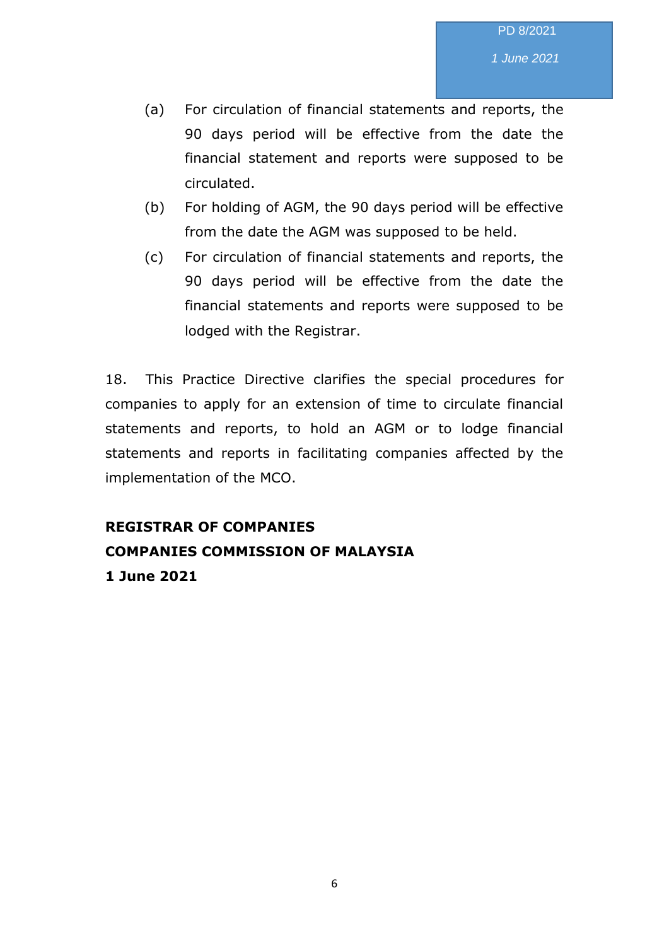*1 June 2021*

- (a) For circulation of financial statements and reports, the 90 days period will be effective from the date the financial statement and reports were supposed to be circulated.
- (b) For holding of AGM, the 90 days period will be effective from the date the AGM was supposed to be held.
- (c) For circulation of financial statements and reports, the 90 days period will be effective from the date the financial statements and reports were supposed to be lodged with the Registrar.

18. This Practice Directive clarifies the special procedures for companies to apply for an extension of time to circulate financial statements and reports, to hold an AGM or to lodge financial statements and reports in facilitating companies affected by the implementation of the MCO.

## **REGISTRAR OF COMPANIES COMPANIES COMMISSION OF MALAYSIA 1 June 2021**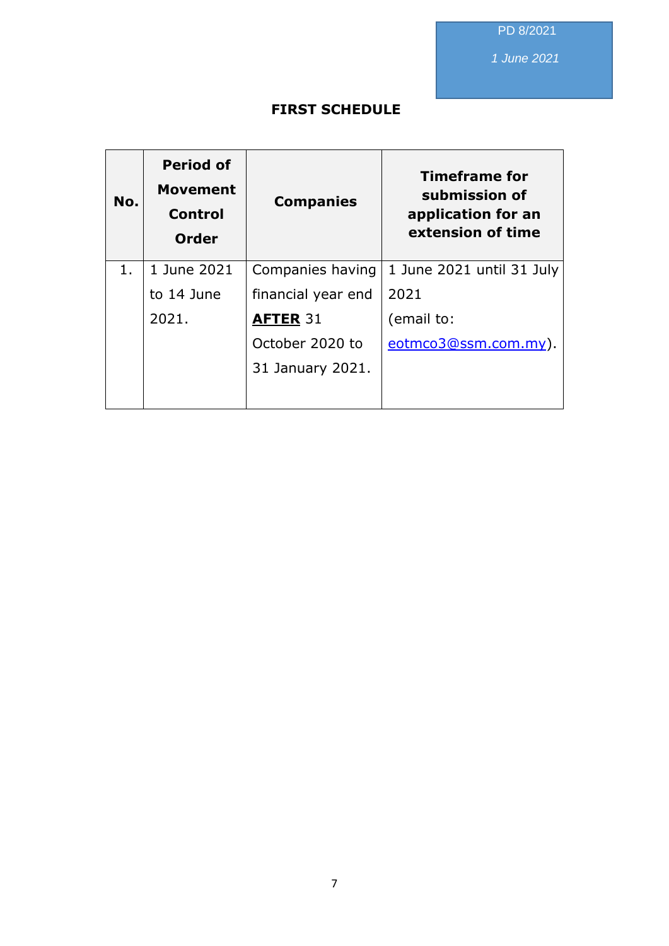PD 8/2021

*1 June 2021*

### **FIRST SCHEDULE**

| No. | <b>Period of</b><br><b>Movement</b><br><b>Control</b><br><b>Order</b> | <b>Companies</b>   | <b>Timeframe for</b><br>submission of<br>application for an<br>extension of time |
|-----|-----------------------------------------------------------------------|--------------------|----------------------------------------------------------------------------------|
| 1.  | 1 June 2021                                                           | Companies having   | 1 June 2021 until 31 July                                                        |
|     | to 14 June                                                            | financial year end | 2021                                                                             |
|     | 2021.                                                                 | <b>AFTER 31</b>    | (email to:                                                                       |
|     |                                                                       | October 2020 to    | eotmco3@ssm.com.my).                                                             |
|     |                                                                       | 31 January 2021.   |                                                                                  |
|     |                                                                       |                    |                                                                                  |